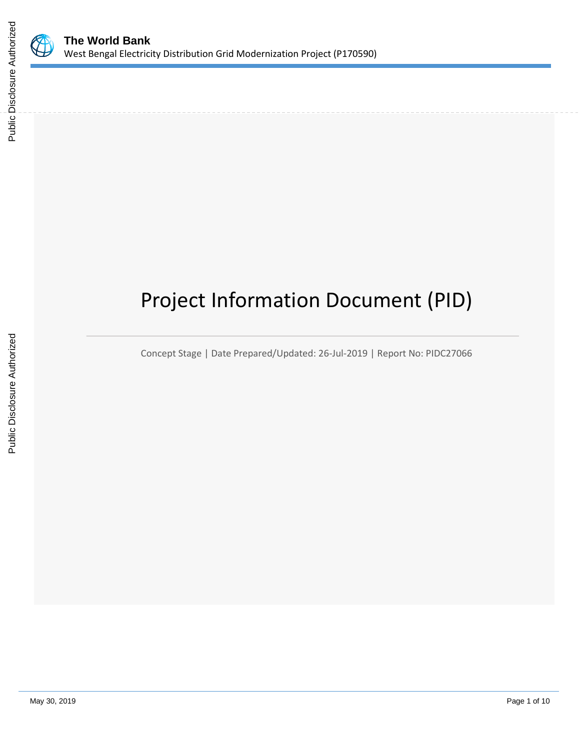

# Project Information Document (PID)

Concept Stage | Date Prepared/Updated: 26-Jul-2019 | Report No: PIDC27066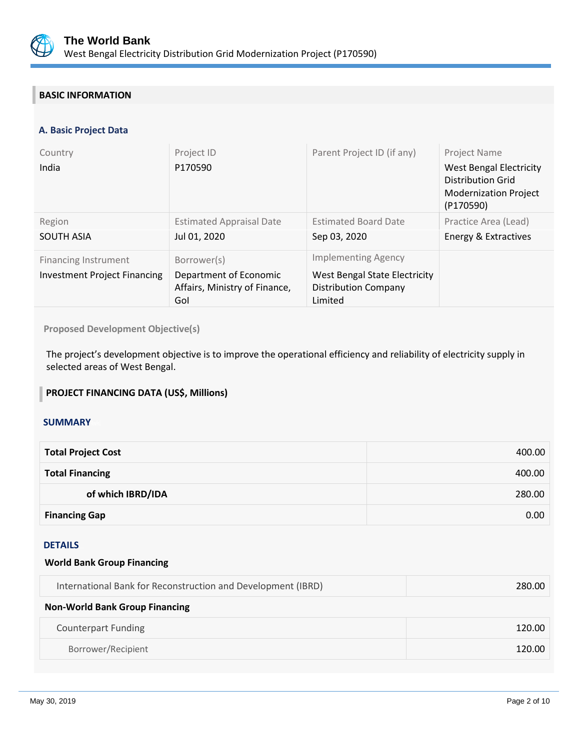

## **BASIC INFORMATION**

## **A. Basic Project Data**

| Country<br>India                                                   | Project ID<br>P170590                                                         | Parent Project ID (if any)                                                                            | Project Name<br><b>West Bengal Electricity</b><br><b>Distribution Grid</b><br><b>Modernization Project</b><br>(P170590) |
|--------------------------------------------------------------------|-------------------------------------------------------------------------------|-------------------------------------------------------------------------------------------------------|-------------------------------------------------------------------------------------------------------------------------|
| Region<br><b>SOUTH ASIA</b>                                        | <b>Estimated Appraisal Date</b><br>Jul 01, 2020                               | <b>Estimated Board Date</b><br>Sep 03, 2020                                                           | Practice Area (Lead)<br>Energy & Extractives                                                                            |
| <b>Financing Instrument</b><br><b>Investment Project Financing</b> | Borrower(s)<br>Department of Economic<br>Affairs, Ministry of Finance,<br>Gol | <b>Implementing Agency</b><br>West Bengal State Electricity<br><b>Distribution Company</b><br>Limited |                                                                                                                         |

**Proposed Development Objective(s)** 

The project's development objective is to improve the operational efficiency and reliability of electricity supply in selected areas of West Bengal.

## **PROJECT FINANCING DATA (US\$, Millions)**

### **SUMMARY**

| <b>Total Project Cost</b> | 400.00 |
|---------------------------|--------|
| <b>Total Financing</b>    | 400.00 |
| of which IBRD/IDA         | 280.00 |
| <b>Financing Gap</b>      | 0.00   |

#### DETAILS

#### **World Bank Group Financing**

| International Bank for Reconstruction and Development (IBRD) | 280.00 |
|--------------------------------------------------------------|--------|
| <b>Non-World Bank Group Financing</b>                        |        |
| <b>Counterpart Funding</b>                                   | 120.00 |
| Borrower/Recipient                                           | 120.00 |
|                                                              |        |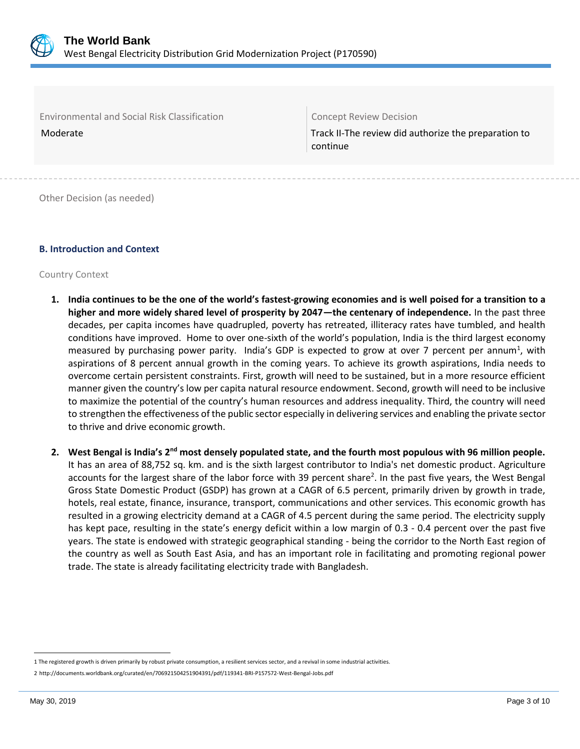

Environmental and Social Risk Classification Concept Review Decision

Moderate Track II-The review did authorize the preparation to continue

Other Decision (as needed)

## **B. Introduction and Context**

Country Context

- **1. India continues to be the one of the world's fastest-growing economies and is well poised for a transition to a higher and more widely shared level of prosperity by 2047—the centenary of independence.** In the past three decades, per capita incomes have quadrupled, poverty has retreated, illiteracy rates have tumbled, and health conditions have improved. Home to over one-sixth of the world's population, India is the third largest economy measured by purchasing power parity. India's GDP is expected to grow at over 7 percent per annum<sup>1</sup>, with aspirations of 8 percent annual growth in the coming years. To achieve its growth aspirations, India needs to overcome certain persistent constraints. First, growth will need to be sustained, but in a more resource efficient manner given the country's low per capita natural resource endowment. Second, growth will need to be inclusive to maximize the potential of the country's human resources and address inequality. Third, the country will need to strengthen the effectiveness of the public sector especially in delivering services and enabling the private sector to thrive and drive economic growth.
- **2. West Bengal is India's 2nd most densely populated state, and the fourth most populous with 96 million people.** It has an area of 88,752 sq. km. and is the sixth largest contributor to India's net domestic product. Agriculture accounts for the largest share of the labor force with 39 percent share<sup>2</sup>. In the past five years, the West Bengal Gross State Domestic Product (GSDP) has grown at a CAGR of 6.5 percent, primarily driven by growth in trade, hotels, real estate, finance, insurance, transport, communications and other services. This economic growth has resulted in a growing electricity demand at a CAGR of 4.5 percent during the same period. The electricity supply has kept pace, resulting in the state's energy deficit within a low margin of 0.3 - 0.4 percent over the past five years. The state is endowed with strategic geographical standing - being the corridor to the North East region of the country as well as South East Asia, and has an important role in facilitating and promoting regional power trade. The state is already facilitating electricity trade with Bangladesh.

 $\overline{a}$ 

<sup>1</sup> The registered growth is driven primarily by robust private consumption, a resilient services sector, and a revival in some industrial activities.

<sup>2</sup> <http://documents.worldbank.org/curated/en/706921504251904391/pdf/119341-BRI-P157572-West-Bengal-Jobs.pdf>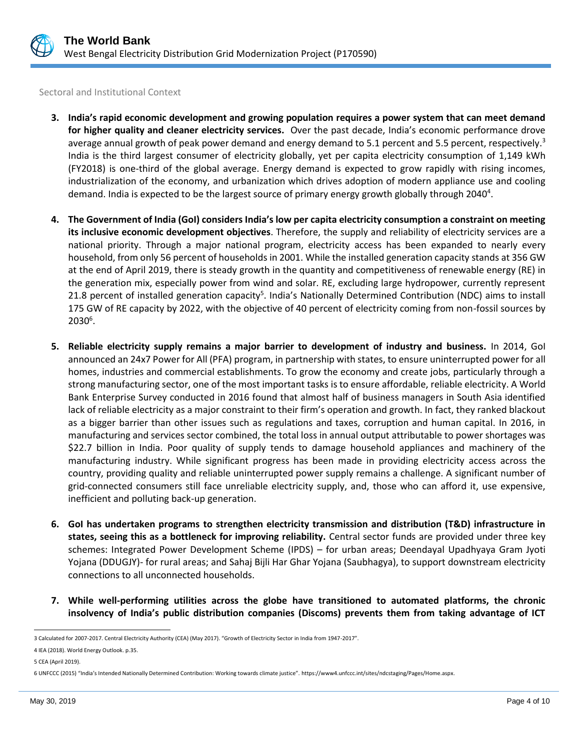

Sectoral and Institutional Context

- **3. India's rapid economic development and growing population requires a power system that can meet demand for higher quality and cleaner electricity services.** Over the past decade, India's economic performance drove average annual growth of peak power demand and energy demand to 5.1 percent and 5.5 percent, respectively.<sup>3</sup> India is the third largest consumer of electricity globally, yet per capita electricity consumption of 1,149 kWh (FY2018) is one-third of the global average. Energy demand is expected to grow rapidly with rising incomes, industrialization of the economy, and urbanization which drives adoption of modern appliance use and cooling demand. India is expected to be the largest source of primary energy growth globally through 2040<sup>4</sup>.
- **4. The Government of India (GoI) considers India's low per capita electricity consumption a constraint on meeting its inclusive economic development objectives**. Therefore, the supply and reliability of electricity services are a national priority. Through a major national program, electricity access has been expanded to nearly every household, from only 56 percent of households in 2001. While the installed generation capacity stands at 356 GW at the end of April 2019, there is steady growth in the quantity and competitiveness of renewable energy (RE) in the generation mix, especially power from wind and solar. RE, excluding large hydropower, currently represent 21.8 percent of installed generation capacity<sup>5</sup>. India's Nationally Determined Contribution (NDC) aims to install 175 GW of RE capacity by 2022, with the objective of 40 percent of electricity coming from non-fossil sources by  $2030^6$ .
- **5. Reliable electricity supply remains a major barrier to development of industry and business.** In 2014, GoI announced an 24x7 Power for All (PFA) program, in partnership with states, to ensure uninterrupted power for all homes, industries and commercial establishments. To grow the economy and create jobs, particularly through a strong manufacturing sector, one of the most important tasks is to ensure affordable, reliable electricity. A World Bank Enterprise Survey conducted in 2016 found that almost half of business managers in South Asia identified lack of reliable electricity as a major constraint to their firm's operation and growth. In fact, they ranked blackout as a bigger barrier than other issues such as regulations and taxes, corruption and human capital. In 2016, in manufacturing and services sector combined, the total loss in annual output attributable to power shortages was \$22.7 billion in India. Poor quality of supply tends to damage household appliances and machinery of the manufacturing industry. While significant progress has been made in providing electricity access across the country, providing quality and reliable uninterrupted power supply remains a challenge. A significant number of grid-connected consumers still face unreliable electricity supply, and, those who can afford it, use expensive, inefficient and polluting back-up generation.
- **6. GoI has undertaken programs to strengthen electricity transmission and distribution (T&D) infrastructure in states, seeing this as a bottleneck for improving reliability.** Central sector funds are provided under three key schemes: Integrated Power Development Scheme (IPDS) – for urban areas; Deendayal Upadhyaya Gram Jyoti Yojana (DDUGJY)- for rural areas; and Sahaj Bijli Har Ghar Yojana (Saubhagya), to support downstream electricity connections to all unconnected households.
- **7. While well-performing utilities across the globe have transitioned to automated platforms, the chronic insolvency of India's public distribution companies (Discoms) prevents them from taking advantage of ICT**

 $\overline{a}$ 3 Calculated for 2007-2017. Central Electricity Authority (CEA) (May 2017). "Growth of Electricity Sector in India from 1947-2017".

<sup>4</sup> IEA (2018). World Energy Outlook. p.35.

<sup>5</sup> CEA (April 2019).

<sup>6</sup> UNFCCC (2015) "India's Intended Nationally Determined Contribution: Working towards climate justice". [https://www4.unfccc.int/sites/ndcstaging/Pages/Home.aspx.](https://www4.unfccc.int/sites/ndcstaging/Pages/Home.aspx)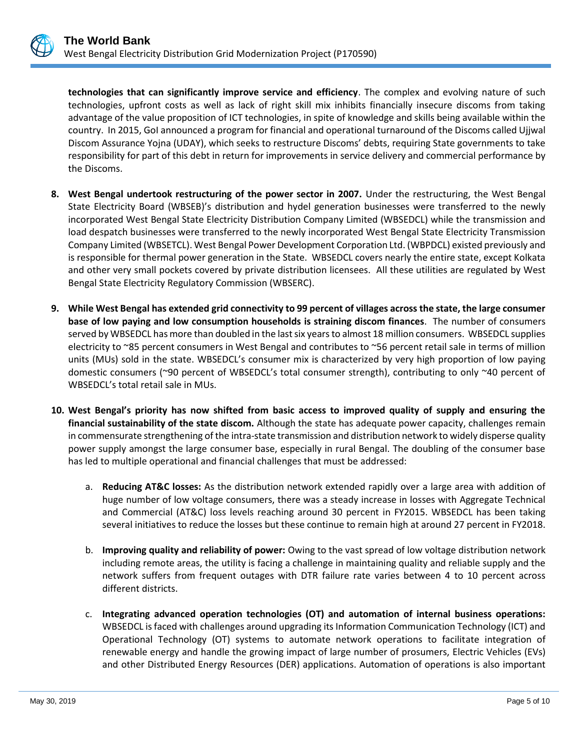

**technologies that can significantly improve service and efficiency**. The complex and evolving nature of such technologies, upfront costs as well as lack of right skill mix inhibits financially insecure discoms from taking advantage of the value proposition of ICT technologies, in spite of knowledge and skills being available within the country. In 2015, GoI announced a program for financial and operational turnaround of the Discoms called Ujjwal Discom Assurance Yojna (UDAY), which seeks to restructure Discoms' debts, requiring State governments to take responsibility for part of this debt in return for improvements in service delivery and commercial performance by the Discoms.

- **8. West Bengal undertook restructuring of the power sector in 2007.** Under the restructuring, the West Bengal State Electricity Board (WBSEB)'s distribution and hydel generation businesses were transferred to the newly incorporated West Bengal State Electricity Distribution Company Limited (WBSEDCL) while the transmission and load despatch businesses were transferred to the newly incorporated West Bengal State Electricity Transmission Company Limited (WBSETCL). West Bengal Power Development Corporation Ltd. (WBPDCL) existed previously and is responsible for thermal power generation in the State. WBSEDCL covers nearly the entire state, except Kolkata and other very small pockets covered by private distribution licensees. All these utilities are regulated by West Bengal State Electricity Regulatory Commission (WBSERC).
- **9. While West Bengal has extended grid connectivity to 99 percent of villages across the state, the large consumer base of low paying and low consumption households is straining discom finances**. The number of consumers served by WBSEDCL has more than doubled in the last six years to almost 18 million consumers. WBSEDCL supplies electricity to ~85 percent consumers in West Bengal and contributes to ~56 percent retail sale in terms of million units (MUs) sold in the state. WBSEDCL's consumer mix is characterized by very high proportion of low paying domestic consumers (~90 percent of WBSEDCL's total consumer strength), contributing to only ~40 percent of WBSEDCL's total retail sale in MUs.
- **10. West Bengal's priority has now shifted from basic access to improved quality of supply and ensuring the financial sustainability of the state discom.** Although the state has adequate power capacity, challenges remain in commensurate strengthening of the intra-state transmission and distribution network to widely disperse quality power supply amongst the large consumer base, especially in rural Bengal. The doubling of the consumer base has led to multiple operational and financial challenges that must be addressed:
	- a. **Reducing AT&C losses:** As the distribution network extended rapidly over a large area with addition of huge number of low voltage consumers, there was a steady increase in losses with Aggregate Technical and Commercial (AT&C) loss levels reaching around 30 percent in FY2015. WBSEDCL has been taking several initiatives to reduce the losses but these continue to remain high at around 27 percent in FY2018.
	- b. **Improving quality and reliability of power:** Owing to the vast spread of low voltage distribution network including remote areas, the utility is facing a challenge in maintaining quality and reliable supply and the network suffers from frequent outages with DTR failure rate varies between 4 to 10 percent across different districts.
	- c. **Integrating advanced operation technologies (OT) and automation of internal business operations:** WBSEDCL is faced with challenges around upgrading its Information Communication Technology (ICT) and Operational Technology (OT) systems to automate network operations to facilitate integration of renewable energy and handle the growing impact of large number of prosumers, Electric Vehicles (EVs) and other Distributed Energy Resources (DER) applications. Automation of operations is also important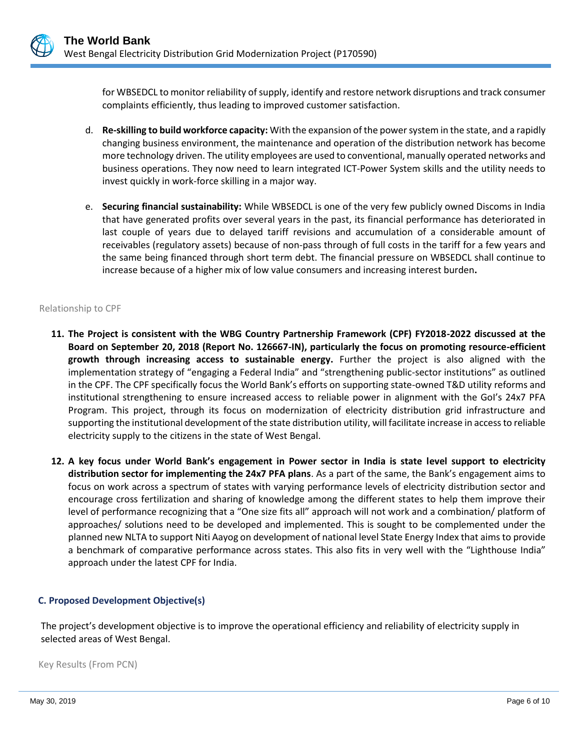for WBSEDCL to monitor reliability of supply, identify and restore network disruptions and track consumer complaints efficiently, thus leading to improved customer satisfaction.

- d. **Re-skilling to build workforce capacity:** With the expansion of the power system in the state, and a rapidly changing business environment, the maintenance and operation of the distribution network has become more technology driven. The utility employees are used to conventional, manually operated networks and business operations. They now need to learn integrated ICT-Power System skills and the utility needs to invest quickly in work-force skilling in a major way.
- e. **Securing financial sustainability:** While WBSEDCL is one of the very few publicly owned Discoms in India that have generated profits over several years in the past, its financial performance has deteriorated in last couple of years due to delayed tariff revisions and accumulation of a considerable amount of receivables (regulatory assets) because of non-pass through of full costs in the tariff for a few years and the same being financed through short term debt. The financial pressure on WBSEDCL shall continue to increase because of a higher mix of low value consumers and increasing interest burden**.**

#### Relationship to CPF

- **11. The Project is consistent with the WBG Country Partnership Framework (CPF) FY2018-2022 discussed at the Board on September 20, 2018 (Report No. 126667-IN), particularly the focus on promoting resource-efficient growth through increasing access to sustainable energy.** Further the project is also aligned with the implementation strategy of "engaging a Federal India" and "strengthening public-sector institutions" as outlined in the CPF. The CPF specifically focus the World Bank's efforts on supporting state-owned T&D utility reforms and institutional strengthening to ensure increased access to reliable power in alignment with the GoI's 24x7 PFA Program. This project, through its focus on modernization of electricity distribution grid infrastructure and supporting the institutional development of the state distribution utility, will facilitate increase in access to reliable electricity supply to the citizens in the state of West Bengal.
- **12. A key focus under World Bank's engagement in Power sector in India is state level support to electricity distribution sector for implementing the 24x7 PFA plans**. As a part of the same, the Bank's engagement aims to focus on work across a spectrum of states with varying performance levels of electricity distribution sector and encourage cross fertilization and sharing of knowledge among the different states to help them improve their level of performance recognizing that a "One size fits all" approach will not work and a combination/ platform of approaches/ solutions need to be developed and implemented. This is sought to be complemented under the planned new NLTA to support Niti Aayog on development of national level State Energy Index that aims to provide a benchmark of comparative performance across states. This also fits in very well with the "Lighthouse India" approach under the latest CPF for India.

#### **C. Proposed Development Objective(s)**

The project's development objective is to improve the operational efficiency and reliability of electricity supply in selected areas of West Bengal.

Key Results (From PCN)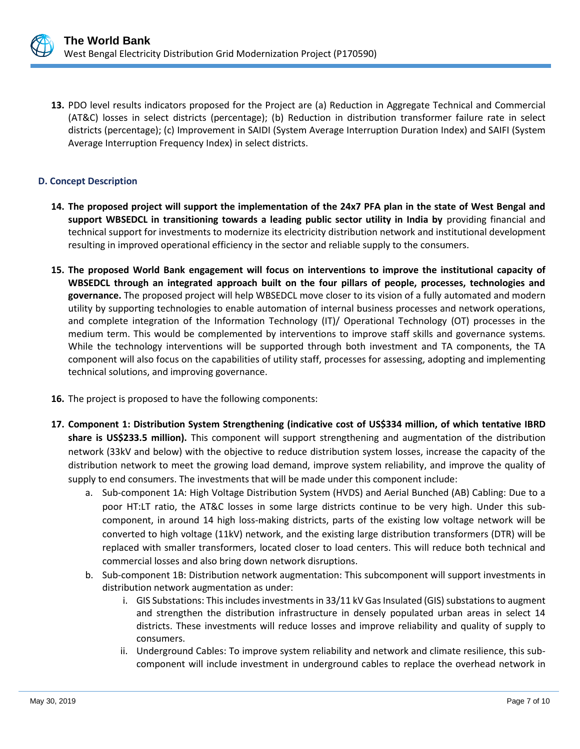

**13.** PDO level results indicators proposed for the Project are (a) Reduction in Aggregate Technical and Commercial (AT&C) losses in select districts (percentage); (b) Reduction in distribution transformer failure rate in select districts (percentage); (c) Improvement in SAIDI (System Average Interruption Duration Index) and SAIFI (System Average Interruption Frequency Index) in select districts.

## **D. Concept Description**

- **14. The proposed project will support the implementation of the 24x7 PFA plan in the state of West Bengal and support WBSEDCL in transitioning towards a leading public sector utility in India by** providing financial and technical support for investments to modernize its electricity distribution network and institutional development resulting in improved operational efficiency in the sector and reliable supply to the consumers.
- **15. The proposed World Bank engagement will focus on interventions to improve the institutional capacity of WBSEDCL through an integrated approach built on the four pillars of people, processes, technologies and governance.** The proposed project will help WBSEDCL move closer to its vision of a fully automated and modern utility by supporting technologies to enable automation of internal business processes and network operations, and complete integration of the Information Technology (IT)/ Operational Technology (OT) processes in the medium term. This would be complemented by interventions to improve staff skills and governance systems. While the technology interventions will be supported through both investment and TA components, the TA component will also focus on the capabilities of utility staff, processes for assessing, adopting and implementing technical solutions, and improving governance.
- **16.** The project is proposed to have the following components:
- **17. Component 1: Distribution System Strengthening (indicative cost of US\$334 million, of which tentative IBRD share is US\$233.5 million).** This component will support strengthening and augmentation of the distribution network (33kV and below) with the objective to reduce distribution system losses, increase the capacity of the distribution network to meet the growing load demand, improve system reliability, and improve the quality of supply to end consumers. The investments that will be made under this component include:
	- a. Sub-component 1A: High Voltage Distribution System (HVDS) and Aerial Bunched (AB) Cabling: Due to a poor HT:LT ratio, the AT&C losses in some large districts continue to be very high. Under this subcomponent, in around 14 high loss-making districts, parts of the existing low voltage network will be converted to high voltage (11kV) network, and the existing large distribution transformers (DTR) will be replaced with smaller transformers, located closer to load centers. This will reduce both technical and commercial losses and also bring down network disruptions.
	- b. Sub-component 1B: Distribution network augmentation: This subcomponent will support investments in distribution network augmentation as under:
		- i. GIS Substations: This includes investments in 33/11 kV Gas Insulated (GIS) substations to augment and strengthen the distribution infrastructure in densely populated urban areas in select 14 districts. These investments will reduce losses and improve reliability and quality of supply to consumers.
		- ii. Underground Cables: To improve system reliability and network and climate resilience, this subcomponent will include investment in underground cables to replace the overhead network in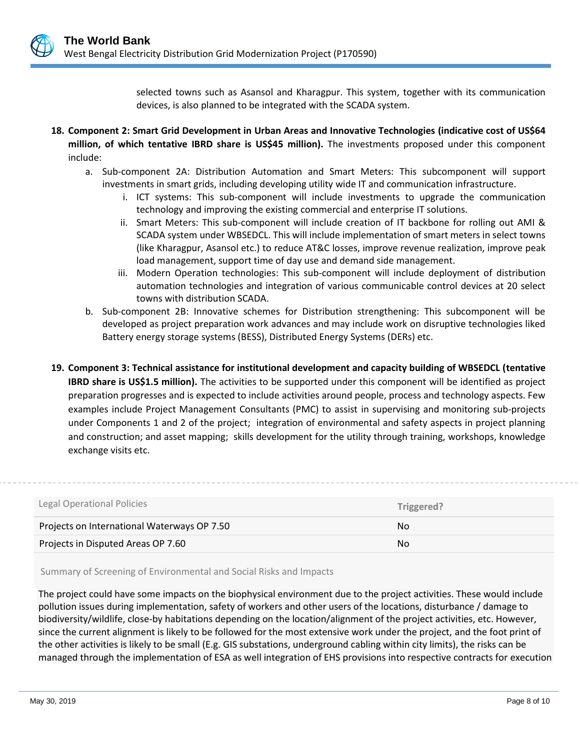selected towns such as Asansol and Kharagpur. This system, together with its communication devices, is also planned to be integrated with the SCADA system.

- **18. Component 2: Smart Grid Development in Urban Areas and Innovative Technologies (indicative cost of US\$64 million, of which tentative IBRD share is US\$45 million).** The investments proposed under this component include:
	- a. Sub-component 2A: Distribution Automation and Smart Meters: This subcomponent will support investments in smart grids, including developing utility wide IT and communication infrastructure.
		- i. ICT systems: This sub-component will include investments to upgrade the communication technology and improving the existing commercial and enterprise IT solutions.
		- ii. Smart Meters: This sub-component will include creation of IT backbone for rolling out AMI & SCADA system under WBSEDCL. This will include implementation of smart meters in select towns (like Kharagpur, Asansol etc.) to reduce AT&C losses, improve revenue realization, improve peak load management, support time of day use and demand side management.
		- iii. Modern Operation technologies: This sub-component will include deployment of distribution automation technologies and integration of various communicable control devices at 20 select towns with distribution SCADA.
	- b. Sub-component 2B: Innovative schemes for Distribution strengthening: This subcomponent will be developed as project preparation work advances and may include work on disruptive technologies liked Battery energy storage systems (BESS), Distributed Energy Systems (DERs) etc.
- **19. Component 3: Technical assistance for institutional development and capacity building of WBSEDCL (tentative IBRD share is US\$1.5 million).** The activities to be supported under this component will be identified as project preparation progresses and is expected to include activities around people, process and technology aspects. Few examples include Project Management Consultants (PMC) to assist in supervising and monitoring sub-projects under Components 1 and 2 of the project; integration of environmental and safety aspects in project planning and construction; and asset mapping; skills development for the utility through training, workshops, knowledge exchange visits etc.

| Legal Operational Policies                  | Triggered? |
|---------------------------------------------|------------|
|                                             |            |
| Projects on International Waterways OP 7.50 | No.        |

Summary of Screening of Environmental and Social Risks and Impacts

The project could have some impacts on the biophysical environment due to the project activities. These would include pollution issues during implementation, safety of workers and other users of the locations, disturbance / damage to biodiversity/wildlife, close-by habitations depending on the location/alignment of the project activities, etc. However, since the current alignment is likely to be followed for the most extensive work under the project, and the foot print of the other activities is likely to be small (E.g. GIS substations, underground cabling within city limits), the risks can be managed through the implementation of ESA as well integration of EHS provisions into respective contracts for execution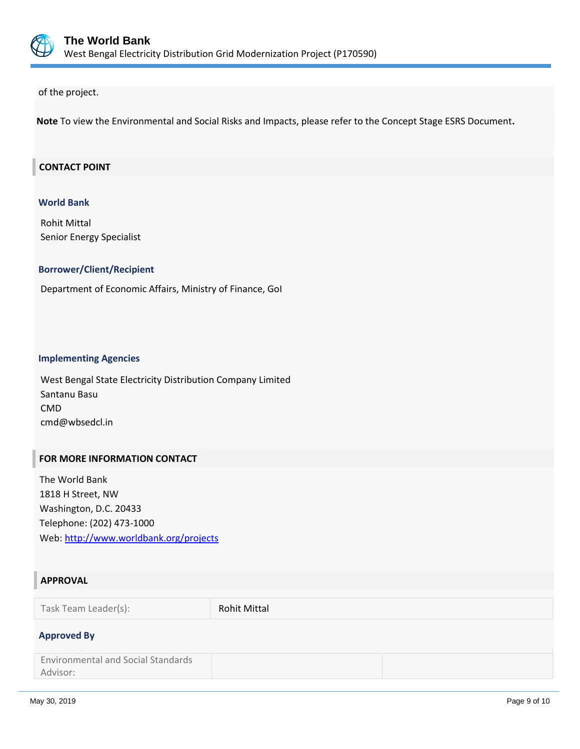

of the project.

**Note** To view the Environmental and Social Risks and Impacts, please refer to the Concept Stage ESRS Document**.**

## **CONTACT POINT**

#### **World Bank**

Rohit Mittal Senior Energy Specialist

## **Borrower/Client/Recipient**

Department of Economic Affairs, Ministry of Finance, GoI

#### **Implementing Agencies**

West Bengal State Electricity Distribution Company Limited Santanu Basu CMD cmd@wbsedcl.in

#### **FOR MORE INFORMATION CONTACT**

The World Bank 1818 H Street, NW Washington, D.C. 20433 Telephone: (202) 473-1000 Web:<http://www.worldbank.org/projects>

## **APPROVAL**

Task Team Leader(s): Rohit Mittal

## **Approved By**

Environmental and Social Standards Advisor: